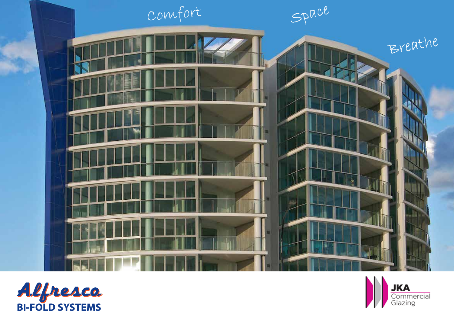



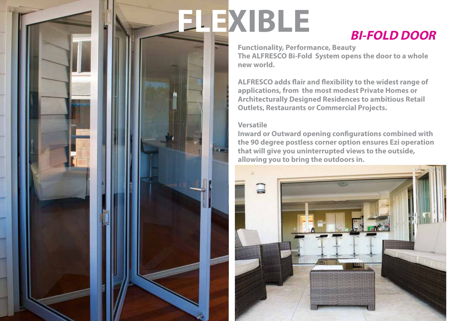# **FLEXIBLE BI-FOLD DOOR**

**Functionality, Performance, Beauty The ALFRESCO Bi-Fold System opens the door to a whole new world.** 

**ALFRESCO adds flair and flexibility to the widest range of applications, from the most modest Private Homes or Architecturally Designed Residences to ambitious Retail Outlets, Restaurants or Commercial Projects.**

### **Versatile**

**Inward or Outward opening configurations combined with the 90 degree postless corner option ensures Ezi operation that will give you uninterrupted views to the outside, allowing you to bring the outdoors in.**

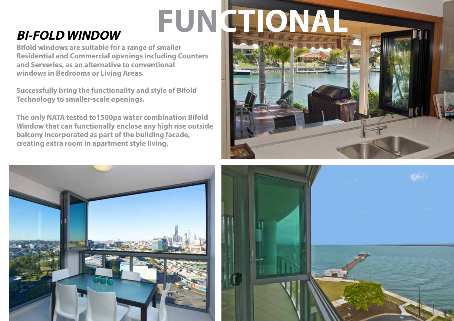# **BI-FOLD WINDOW FUNCTIONAL**

**Bifold windows are suitable for a range of smaller Residential and Commercial openings including Counters and Serveries, as an alternative to conventional windows in Bedrooms or Living Areas.**

**Successfully bring the functionality and style of Bifold Technology to smaller-scale openings.**

**The only NATA tested to1500pa water combination Bifold Window that can functionally enclose any high rise outside balcony incorporated as part of the building facade, creating extra room in apartment style living.**